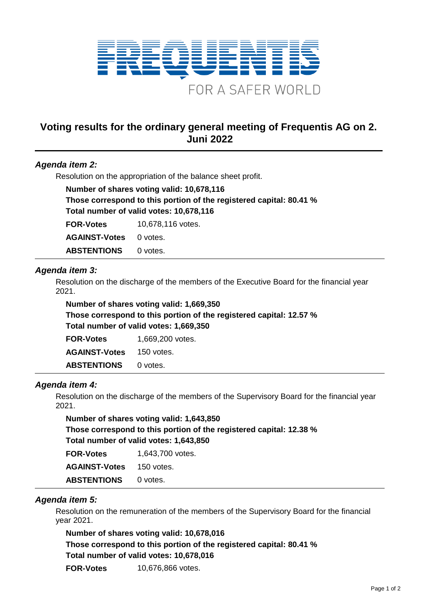

# **Voting results for the ordinary general meeting of Frequentis AG on 2. Juni 2022**

# *Agenda item 2:*

Resolution on the appropriation of the balance sheet profit.

**Number of shares voting valid: 10,678,116 Those correspond to this portion of the registered capital: 80.41 % Total number of valid votes: 10,678,116 FOR-Votes** 10,678,116 votes. AGAINST-Votes 0 votes.

ABSTENTIONS 0 votes.

## *Agenda item 3:*

Resolution on the discharge of the members of the Executive Board for the financial year 2021.

**Number of shares voting valid: 1,669,350 Those correspond to this portion of the registered capital: 12.57 % Total number of valid votes: 1,669,350**

| <b>FOR-Votes</b>     | 1,669,200 votes. |
|----------------------|------------------|
| <b>AGAINST-Votes</b> | 150 votes.       |
| <b>ABSTENTIONS</b>   | 0 votes.         |

# *Agenda item 4:*

Resolution on the discharge of the members of the Supervisory Board for the financial year 2021.

**Number of shares voting valid: 1,643,850 Those correspond to this portion of the registered capital: 12.38 % Total number of valid votes: 1,643,850**

| <b>FOR-Votes</b>     | 1,643,700 votes. |
|----------------------|------------------|
| <b>AGAINST-Votes</b> | 150 votes.       |
| <b>ABSTENTIONS</b>   | 0 votes.         |

#### *Agenda item 5:*

Resolution on the remuneration of the members of the Supervisory Board for the financial year 2021.

**Number of shares voting valid: 10,678,016 Those correspond to this portion of the registered capital: 80.41 % Total number of valid votes: 10,678,016 FOR-Votes** 10,676,866 votes.